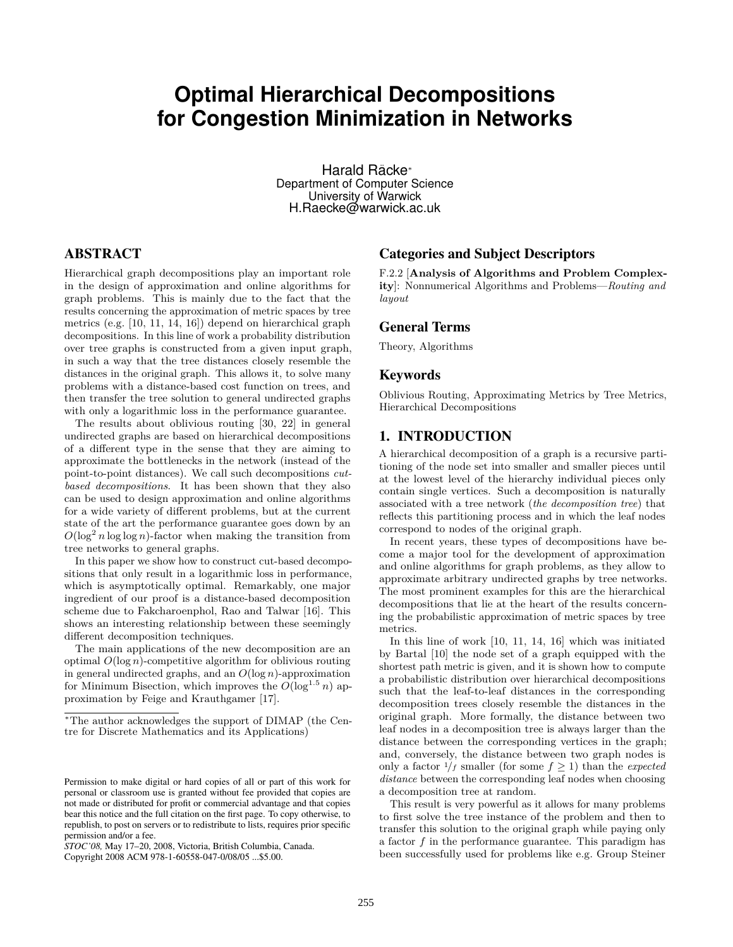# **Optimal Hierarchical Decompositions for Congestion Minimization in Networks**

Harald Racke ¨ *<sup>∗</sup>* Department of Computer Science University of Warwick H.Raecke@warwick.ac.uk

# ABSTRACT

Hierarchical graph decompositions play an important role in the design of approximation and online algorithms for graph problems. This is mainly due to the fact that the results concerning the approximation of metric spaces by tree metrics (e.g. [\[10,](#page-7-0) [11,](#page-7-1) [14,](#page-7-2) [16\]](#page-7-3)) depend on hierarchical graph decompositions. In this line of work a probability distribution over tree graphs is constructed from a given input graph, in such a way that the tree distances closely resemble the distances in the original graph. This allows it, to solve many problems with a distance-based cost function on trees, and then transfer the tree solution to general undirected graphs with only a logarithmic loss in the performance guarantee.

The results about oblivious routing [\[30,](#page-8-0) [22\]](#page-7-4) in general undirected graphs are based on hierarchical decompositions of a different type in the sense that they are aiming to approximate the bottlenecks in the network (instead of the point-to-point distances). We call such decompositions *cutbased decompositions*. It has been shown that they also can be used to design approximation and online algorithms for a wide variety of different problems, but at the current state of the art the performance guarantee goes down by an  $O(\log^2 n \log \log n)$ -factor when making the transition from tree networks to general graphs.

In this paper we show how to construct cut-based decompositions that only result in a logarithmic loss in performance, which is asymptotically optimal. Remarkably, one major ingredient of our proof is a distance-based decomposition scheme due to Fakcharoenphol, Rao and Talwar [\[16\]](#page-7-3). This shows an interesting relationship between these seemingly different decomposition techniques.

The main applications of the new decomposition are an optimal *O*(log *n*)-competitive algorithm for oblivious routing in general undirected graphs, and an *O*(log *n*)-approximation for Minimum Bisection, which improves the  $O(\log^{1.5} n)$  approximation by Feige and Krauthgamer [\[17\]](#page-7-5).

Copyright 2008 ACM 978-1-60558-047-0/08/05 ...\$5.00.

# Categories and Subject Descriptors

F.2.2 [**Analysis of Algorithms and Problem Complexity**]: Nonnumerical Algorithms and Problems—*Routing and layout*

## General Terms

Theory, Algorithms

## Keywords

Oblivious Routing, Approximating Metrics by Tree Metrics, Hierarchical Decompositions

# 1. INTRODUCTION

A hierarchical decomposition of a graph is a recursive partitioning of the node set into smaller and smaller pieces until at the lowest level of the hierarchy individual pieces only contain single vertices. Such a decomposition is naturally associated with a tree network (*the decomposition tree*) that reflects this partitioning process and in which the leaf nodes correspond to nodes of the original graph.

In recent years, these types of decompositions have become a major tool for the development of approximation and online algorithms for graph problems, as they allow to approximate arbitrary undirected graphs by tree networks. The most prominent examples for this are the hierarchical decompositions that lie at the heart of the results concerning the probabilistic approximation of metric spaces by tree metrics.

In this line of work [\[10,](#page-7-0) [11,](#page-7-1) [14,](#page-7-2) [16\]](#page-7-3) which was initiated by Bartal [\[10\]](#page-7-0) the node set of a graph equipped with the shortest path metric is given, and it is shown how to compute a probabilistic distribution over hierarchical decompositions such that the leaf-to-leaf distances in the corresponding decomposition trees closely resemble the distances in the original graph. More formally, the distance between two leaf nodes in a decomposition tree is always larger than the distance between the corresponding vertices in the graph; and, conversely, the distance between two graph nodes is only a factor  $\frac{1}{f}$  smaller (for some  $f \geq 1$ ) than the *expected distance* between the corresponding leaf nodes when choosing a decomposition tree at random.

This result is very powerful as it allows for many problems to first solve the tree instance of the problem and then to transfer this solution to the original graph while paying only a factor *f* in the performance guarantee. This paradigm has been successfully used for problems like e.g. Group Steiner

*<sup>∗</sup>*The author acknowledges the support of DIMAP (the Centre for Discrete Mathematics and its Applications)

Permission to make digital or hard copies of all or part of this work for personal or classroom use is granted without fee provided that copies are not made or distributed for profit or commercial advantage and that copies bear this notice and the full citation on the first page. To copy otherwise, to republish, to post on servers or to redistribute to lists, requires prior specific permission and/or a fee.

*STOC'08,* May 17–20, 2008, Victoria, British Columbia, Canada.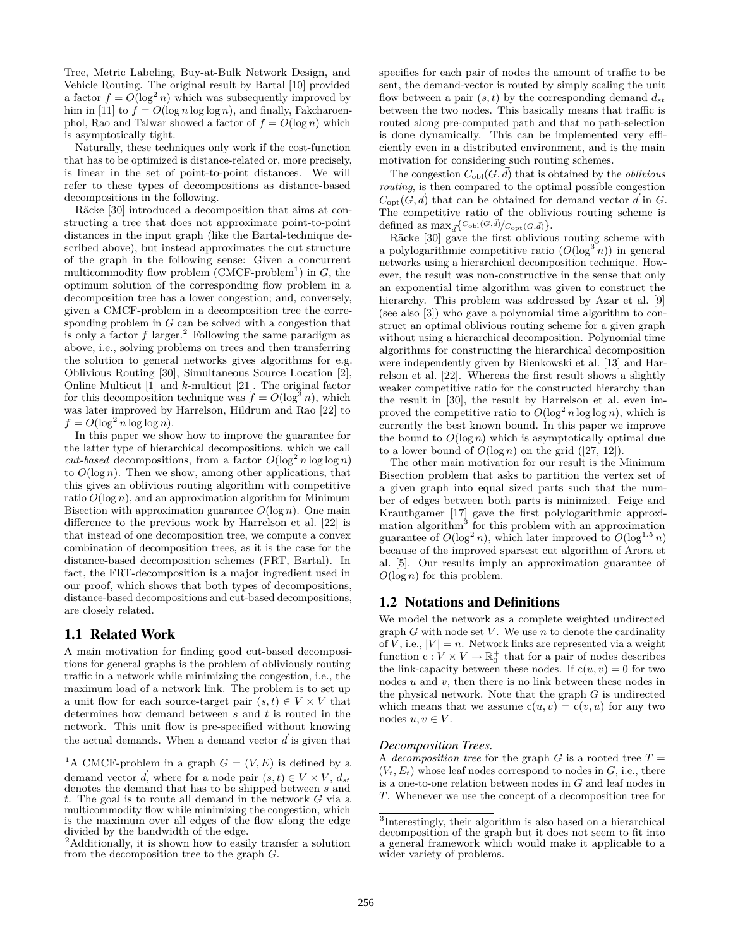Tree, Metric Labeling, Buy-at-Bulk Network Design, and Vehicle Routing. The original result by Bartal [\[10\]](#page-7-0) provided a factor  $f = O(\log^2 n)$  which was subsequently improved by him in [\[11\]](#page-7-1) to  $f = O(\log n \log \log n)$ , and finally, Fakcharoenphol, Rao and Talwar showed a factor of  $f = O(\log n)$  which is asymptotically tight.

Naturally, these techniques only work if the cost-function that has to be optimized is distance-related or, more precisely, is linear in the set of point-to-point distances. We will refer to these types of decompositions as distance-based decompositions in the following.

Räcke [\[30\]](#page-8-0) introduced a decomposition that aims at constructing a tree that does not approximate point-to-point distances in the input graph (like the Bartal-technique described above), but instead approximates the cut structure of the graph in the following sense: Given a concurrent multicommodity flow problem  $(CMCF$ -problem<sup>1</sup>) in  $G$ , the optimum solution of the corresponding flow problem in a decomposition tree has a lower congestion; and, conversely, given a CMCF-problem in a decomposition tree the corresponding problem in *G* can be solved with a congestion that is only a factor  $f$  larger.<sup>2</sup> Following the same paradigm as above, i.e., solving problems on trees and then transferring the solution to general networks gives algorithms for e.g. Oblivious Routing [\[30\]](#page-8-0), Simultaneous Source Location [\[2\]](#page-7-6), Online Multicut [\[1\]](#page-7-7) and *k*-multicut [\[21\]](#page-7-8). The original factor for this decomposition technique was  $f = O(\log^3 n)$ , which was later improved by Harrelson, Hildrum and Rao [\[22\]](#page-7-4) to  $f = O(\log^2 n \log \log n)$ .

In this paper we show how to improve the guarantee for the latter type of hierarchical decompositions, which we call *cut-based* decompositions, from a factor  $O(\log^2 n \log \log n)$ to  $O(\log n)$ . Then we show, among other applications, that this gives an oblivious routing algorithm with competitive ratio  $O(\log n)$ , and an approximation algorithm for Minimum Bisection with approximation guarantee  $O(\log n)$ . One main difference to the previous work by Harrelson et al. [\[22\]](#page-7-4) is that instead of one decomposition tree, we compute a convex combination of decomposition trees, as it is the case for the distance-based decomposition schemes (FRT, Bartal). In fact, the FRT-decomposition is a major ingredient used in our proof, which shows that both types of decompositions, distance-based decompositions and cut-based decompositions, are closely related.

## 1.1 Related Work

A main motivation for finding good cut-based decompositions for general graphs is the problem of obliviously routing traffic in a network while minimizing the congestion, i.e., the maximum load of a network link. The problem is to set up a unit flow for each source-target pair  $(s, t) \in V \times V$  that determines how demand between *s* and *t* is routed in the network. This unit flow is pre-specified without knowing the actual demands. When a demand vector  $\vec{d}$  is given that

specifies for each pair of nodes the amount of traffic to be sent, the demand-vector is routed by simply scaling the unit flow between a pair  $(s, t)$  by the corresponding demand  $d_{st}$ between the two nodes. This basically means that traffic is routed along pre-computed path and that no path-selection is done dynamically. This can be implemented very efficiently even in a distributed environment, and is the main motivation for considering such routing schemes.

The congestion  $C_{\text{obl}}(G, d)$  that is obtained by the *oblivious routing*, is then compared to the optimal possible congestion  $C_{opt}(G, \vec{d})$  that can be obtained for demand vector  $\vec{d}$  in *G*. The competitive ratio of the oblivious routing scheme is defined as  $\max_{\vec{d}} \left\{ C_{\text{obl}}(G, \vec{d}) / C_{\text{opt}}(G, \vec{d}) \right\}$ .

Räcke [\[30\]](#page-8-0) gave the first oblivious routing scheme with a polylogarithmic competitive ratio  $(O(\log^3 n))$  in general networks using a hierarchical decomposition technique. However, the result was non-constructive in the sense that only an exponential time algorithm was given to construct the hierarchy. This problem was addressed by Azar et al. [\[9\]](#page-7-9) (see also [\[3\]](#page-7-10)) who gave a polynomial time algorithm to construct an optimal oblivious routing scheme for a given graph without using a hierarchical decomposition. Polynomial time algorithms for constructing the hierarchical decomposition were independently given by Bienkowski et al. [\[13\]](#page-7-11) and Harrelson et al. [\[22\]](#page-7-4). Whereas the first result shows a slightly weaker competitive ratio for the constructed hierarchy than the result in [\[30\]](#page-8-0), the result by Harrelson et al. even improved the competitive ratio to  $O(\log^2 n \log \log n)$ , which is currently the best known bound. In this paper we improve the bound to  $O(\log n)$  which is asymptotically optimal due to a lower bound of  $O(\log n)$  on the grid ([\[27,](#page-8-1) [12\]](#page-7-12)).

The other main motivation for our result is the Minimum Bisection problem that asks to partition the vertex set of a given graph into equal sized parts such that the number of edges between both parts is minimized. Feige and Krauthgamer [\[17\]](#page-7-5) gave the first polylogarithmic approximation algorithm<sup>3</sup> for this problem with an approximation guarantee of  $O(\log^2 n)$ , which later improved to  $O(\log^{1.5} n)$ because of the improved sparsest cut algorithm of Arora et al. [\[5\]](#page-7-13). Our results imply an approximation guarantee of *O*(log *n*) for this problem.

# 1.2 Notations and Definitions

We model the network as a complete weighted undirected graph *G* with node set *V* . We use *n* to denote the cardinality of *V*, i.e.,  $|V| = n$ . Network links are represented via a weight function  $c: V \times V \to \mathbb{R}_0^+$  that for a pair of nodes describes the link-capacity between these nodes. If  $c(u, v) = 0$  for two nodes *u* and *v*, then there is no link between these nodes in the physical network. Note that the graph *G* is undirected which means that we assume  $c(u, v) = c(v, u)$  for any two nodes  $u, v \in V$ .

## *Decomposition Trees.*

A *decomposition tree* for the graph  $G$  is a rooted tree  $T =$  $(V_t, E_t)$  whose leaf nodes correspond to nodes in  $G$ , i.e., there is a one-to-one relation between nodes in *G* and leaf nodes in *T*. Whenever we use the concept of a decomposition tree for

<sup>&</sup>lt;sup>1</sup>A CMCF-problem in a graph  $G = (V, E)$  is defined by a demand vector  $\vec{d}$ , where for a node pair  $(s, t) \in V \times V$ ,  $d_{st}$ denotes the demand that has to be shipped between *s* and *t*. The goal is to route all demand in the network *G* via a multicommodity flow while minimizing the congestion, which is the maximum over all edges of the flow along the edge divided by the bandwidth of the edge.

<sup>2</sup>Additionally, it is shown how to easily transfer a solution from the decomposition tree to the graph *G*.

<sup>3</sup> Interestingly, their algorithm is also based on a hierarchical decomposition of the graph but it does not seem to fit into a general framework which would make it applicable to a wider variety of problems.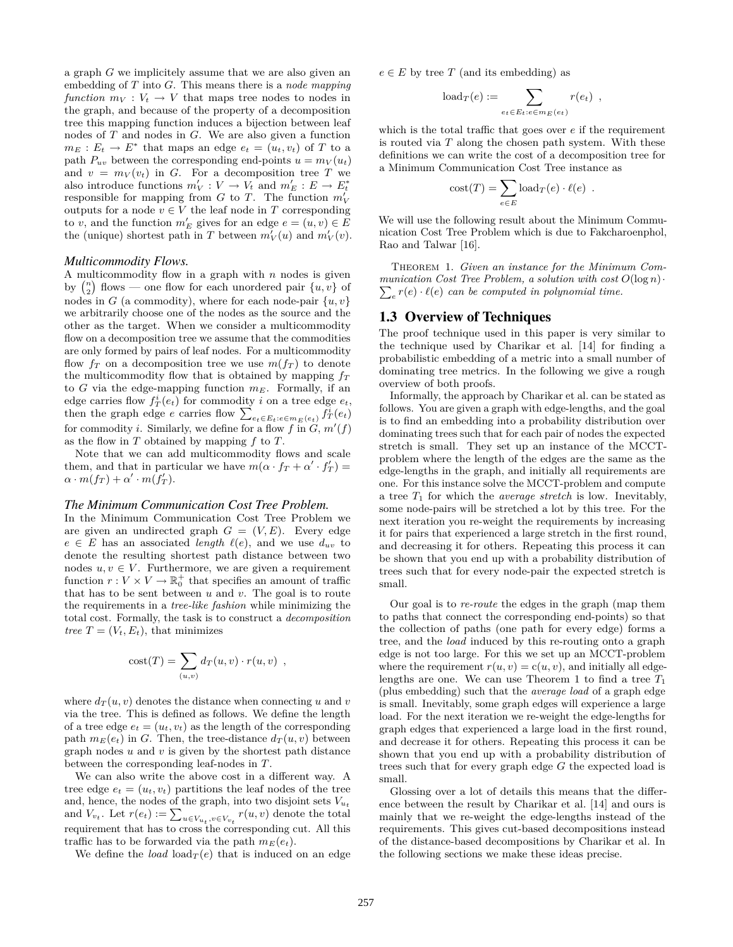a graph *G* we implicitely assume that we are also given an embedding of *T* into *G*. This means there is a *node mapping function*  $m_V: V_t \to V$  that maps tree nodes to nodes in the graph, and because of the property of a decomposition tree this mapping function induces a bijection between leaf nodes of *T* and nodes in *G*. We are also given a function  $m_E: E_t \to E^*$  that maps an edge  $e_t = (u_t, v_t)$  of *T* to a path  $P_{uv}$  between the corresponding end-points  $u = m_V(u_t)$ and  $v = m_V(v_t)$  in *G*. For a decomposition tree *T* we also introduce functions  $m_V' : V \to V_t$  and  $m_E' : E \to E_t^*$ responsible for mapping from *G* to *T*. The function  $m'_V$ outputs for a node  $v \in V$  the leaf node in  $T$  corresponding to *v*, and the function  $m'_E$  gives for an edge  $e = (u, v) \in E$ the (unique) shortest path in *T* between  $m_V'(u)$  and  $m_V'(v)$ .

### *Multicommodity Flows.*

A multicommodity flow in a graph with *n* nodes is given by  $\binom{n}{2}$  flows — one flow for each unordered pair  $\{u, v\}$  of nodes in *G* (a commodity), where for each node-pair  $\{u, v\}$ we arbitrarily choose one of the nodes as the source and the other as the target. When we consider a multicommodity flow on a decomposition tree we assume that the commodities are only formed by pairs of leaf nodes. For a multicommodity flow  $f<sub>T</sub>$  on a decomposition tree we use  $m(f<sub>T</sub>)$  to denote the multicommodity flow that is obtained by mapping *f<sup>T</sup>* to *G* via the edge-mapping function  $m_E$ . Formally, if an edge carries flow  $f_T^i(e_t)$  for commodity *i* on a tree edge  $e_t$ , then the graph edge *e* carries flow  $\sum_{e_t \in E_t: e \in m_E(e_t)} f_T^i(e_t)$ for commodity *i*. Similarly, we define for a flow  $f$  in  $G, m'(f)$ as the flow in *T* obtained by mapping *f* to *T*.

Note that we can add multicommodity flows and scale them, and that in particular we have  $m(\alpha \cdot f_T + \alpha' \cdot f'_T) =$  $\alpha \cdot m(f_T) + \alpha' \cdot m(f'_T).$ 

#### *The Minimum Communication Cost Tree Problem.*

In the Minimum Communication Cost Tree Problem we are given an undirected graph  $G = (V, E)$ . Every edge  $e \in E$  has an associated *length*  $\ell(e)$ , and we use  $d_{uv}$  to denote the resulting shortest path distance between two nodes  $u, v \in V$ . Furthermore, we are given a requirement function  $r: V \times V \to \mathbb{R}_0^+$  that specifies an amount of traffic that has to be sent between *u* and *v*. The goal is to route the requirements in a *tree-like fashion* while minimizing the total cost. Formally, the task is to construct a *decomposition tree*  $T = (V_t, E_t)$ , that minimizes

$$
cost(T) = \sum_{(u,v)} d_T(u,v) \cdot r(u,v) ,
$$

where  $d_T(u, v)$  denotes the distance when connecting *u* and *v* via the tree. This is defined as follows. We define the length of a tree edge  $e_t = (u_t, v_t)$  as the length of the corresponding path  $m_E(e_t)$  in *G*. Then, the tree-distance  $d_T(u, v)$  between graph nodes *u* and *v* is given by the shortest path distance between the corresponding leaf-nodes in *T*.

We can also write the above cost in a different way. A tree edge  $e_t = (u_t, v_t)$  partitions the leaf nodes of the tree and, hence, the nodes of the graph, into two disjoint sets  $V_{u_t}$ and  $V_{v_t}$ . Let  $r(e_t) := \sum_{u \in V_{u_t}, v \in V_{v_t}} r(u, v)$  denote the total requirement that has to cross the corresponding cut. All this traffic has to be forwarded via the path  $m_E(e_t)$ .

We define the *load*  $\text{load}_T(e)$  that is induced on an edge

 $e \in E$  by tree *T* (and its embedding) as

$$
load_T(e) := \sum_{e_t \in E_t: e \in m_E(e_t)} r(e_t) ,
$$

which is the total traffic that goes over *e* if the requirement is routed via *T* along the chosen path system. With these definitions we can write the cost of a decomposition tree for a Minimum Communication Cost Tree instance as

<span id="page-2-0"></span>
$$
cost(T) = \sum_{e \in E} load_T(e) \cdot \ell(e) .
$$

We will use the following result about the Minimum Communication Cost Tree Problem which is due to Fakcharoenphol, Rao and Talwar [\[16\]](#page-7-3).

THEOREM 1. Given an instance for the Minimum Com- $\sum_{e} r(e) \cdot \ell(e)$  *can be computed in polynomial time. munication Cost Tree Problem, a solution with cost*  $O(\log n)$ *·* 

## 1.3 Overview of Techniques

The proof technique used in this paper is very similar to the technique used by Charikar et al. [\[14\]](#page-7-2) for finding a probabilistic embedding of a metric into a small number of dominating tree metrics. In the following we give a rough overview of both proofs.

Informally, the approach by Charikar et al. can be stated as follows. You are given a graph with edge-lengths, and the goal is to find an embedding into a probability distribution over dominating trees such that for each pair of nodes the expected stretch is small. They set up an instance of the MCCTproblem where the length of the edges are the same as the edge-lengths in the graph, and initially all requirements are one. For this instance solve the MCCT-problem and compute a tree  $T_1$  for which the *average stretch* is low. Inevitably, some node-pairs will be stretched a lot by this tree. For the next iteration you re-weight the requirements by increasing it for pairs that experienced a large stretch in the first round, and decreasing it for others. Repeating this process it can be shown that you end up with a probability distribution of trees such that for every node-pair the expected stretch is small.

Our goal is to *re-route* the edges in the graph (map them to paths that connect the corresponding end-points) so that the collection of paths (one path for every edge) forms a tree, and the *load* induced by this re-routing onto a graph edge is not too large. For this we set up an MCCT-problem where the requirement  $r(u, v) = c(u, v)$ , and initially all edge-lengths are one. We can use [Theorem 1](#page-2-0) to find a tree  $T_1$ (plus embedding) such that the *average load* of a graph edge is small. Inevitably, some graph edges will experience a large load. For the next iteration we re-weight the edge-lengths for graph edges that experienced a large load in the first round, and decrease it for others. Repeating this process it can be shown that you end up with a probability distribution of trees such that for every graph edge *G* the expected load is small.

Glossing over a lot of details this means that the difference between the result by Charikar et al. [\[14\]](#page-7-2) and ours is mainly that we re-weight the edge-lengths instead of the requirements. This gives cut-based decompositions instead of the distance-based decompositions by Charikar et al. In the following sections we make these ideas precise.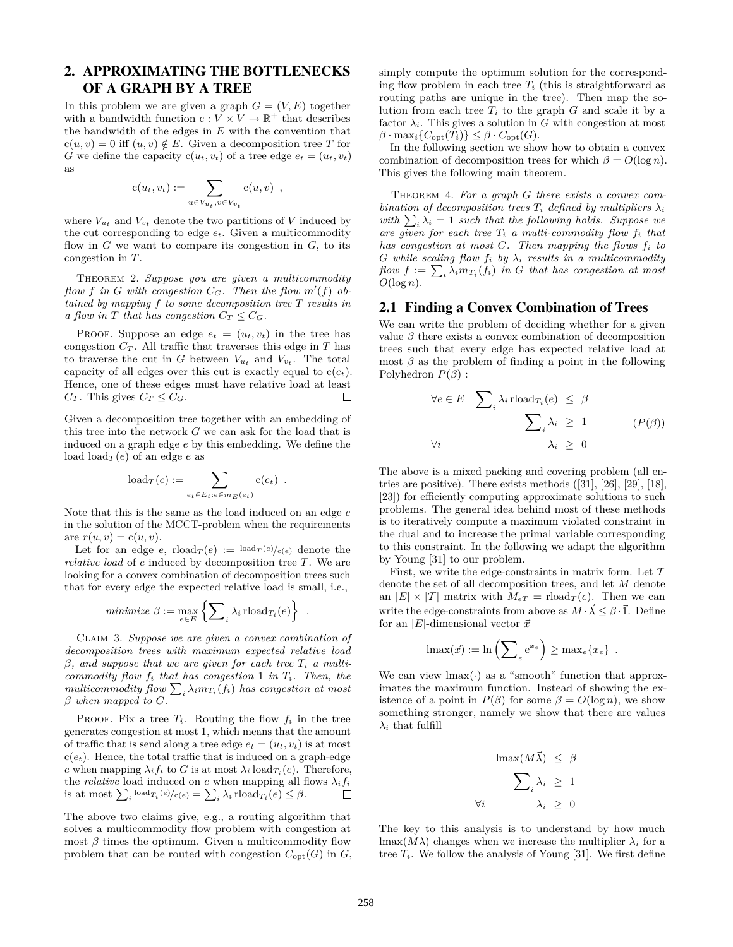# 2. APPROXIMATING THE BOTTLENECKS OF A GRAPH BY A TREE

In this problem we are given a graph  $G = (V, E)$  together with a bandwidth function  $c: V \times V \to \mathbb{R}^+$  that describes the bandwidth of the edges in *E* with the convention that  $c(u, v) = 0$  iff  $(u, v) \notin E$ . Given a decomposition tree T for *G* we define the capacity  $c(u_t, v_t)$  of a tree edge  $e_t = (u_t, v_t)$ as

<span id="page-3-2"></span>
$$
c(u_t, v_t) := \sum_{u \in V_{u_t}, v \in V_{v_t}} c(u, v) ,
$$

where  $V_{u_t}$  and  $V_{v_t}$  denote the two partitions of V induced by the cut corresponding to edge *et*. Given a multicommodity flow in  $G$  we want to compare its congestion in  $G$ , to its congestion in *T*.

Theorem 2. *Suppose you are given a multicommodity flow f* in *G* with congestion  $C_G$ . Then the flow  $m'(f)$  ob*tained by mapping f to some decomposition tree T results in a flow in T that has congestion*  $C_T \leq C_G$ *.* 

PROOF. Suppose an edge  $e_t = (u_t, v_t)$  in the tree has congestion  $C_T$ . All traffic that traverses this edge in  $T$  has to traverse the cut in *G* between  $V_{u_t}$  and  $V_{v_t}$ . The total capacity of all edges over this cut is exactly equal to  $c(e_t)$ . Hence, one of these edges must have relative load at least *C*<sub>*T*</sub>. This gives  $C_T \leq C_G$ .  $\Box$ 

Given a decomposition tree together with an embedding of this tree into the network *G* we can ask for the load that is induced on a graph edge *e* by this embedding. We define the load  $\text{load}_{\mathcal{T}}(e)$  of an edge *e* as

$$
load_T(e) := \sum_{e_t \in E_t : e \in m_E(e_t)} c(e_t) .
$$

Note that this is the same as the load induced on an edge *e* in the solution of the MCCT-problem when the requirements  $\text{are } r(u, v) = c(u, v).$ 

Let for an edge *e*,  $\text{rload}_{T}(e) := \text{load}_{T}(e) / c(e)$  denote the *relative load* of *e* induced by decomposition tree *T*. We are looking for a convex combination of decomposition trees such that for every edge the expected relative load is small, i.e.,

$$
minimize \beta := \max_{e \in E} \left\{ \sum_{i} \lambda_i \text{rload}_{T_i}(e) \right\} .
$$

Claim 3. *Suppose we are given a convex combination of decomposition trees with maximum expected relative load*  $\beta$ *, and suppose that we are given for each tree*  $T_i$  *a multicommodity flow f<sup>i</sup> that has congestion* 1 *in Ti. Then, the*  $multicommodity \ flow \sum_i \lambda_i m_{T_i}(f_i) \ has \ congestion \ at \ most$ *β when mapped to G.*

PROOF. Fix a tree  $T_i$ . Routing the flow  $f_i$  in the tree generates congestion at most 1, which means that the amount of traffic that is send along a tree edge  $e_t = (u_t, v_t)$  is at most  $c(e_t)$ . Hence, the total traffic that is induced on a graph-edge *e* when mapping  $\lambda_i f_i$  to *G* is at most  $\lambda_i$  load<sub>*T*<sup>*i*</sup></sub>(*e*). Therefore, the *relative* load induced on *e* when mapping all flows  $\lambda_i f_i$ is at most  $\sum_i \text{load}_{T_i}(e) / c(e) = \sum_i \lambda_i \text{rload}_{T_i}(e) \leq \beta.$ 

The above two claims give, e.g., a routing algorithm that solves a multicommodity flow problem with congestion at most  $\beta$  times the optimum. Given a multicommodity flow problem that can be routed with congestion  $C_{opt}(G)$  in  $G$ , simply compute the optimum solution for the corresponding flow problem in each tree  $T_i$  (this is straightforward as routing paths are unique in the tree). Then map the solution from each tree  $T_i$  to the graph  $G$  and scale it by a factor  $\lambda_i$ . This gives a solution in *G* with congestion at most  $\beta$  · max<sub>*i*</sub>{ $C_{opt}(T_i)$ }  $\leq \beta$  ·  $C_{opt}(G)$ .

<span id="page-3-1"></span>In the following section we show how to obtain a convex combination of decomposition trees for which  $\beta = O(\log n)$ . This gives the following main theorem.

Theorem 4. *For a graph G there exists a convex combination of decomposition trees*  $T_i$  *defined by multipliers*  $\lambda_i$ *with*  $\sum_i \lambda_i = 1$  *such that the following holds. Suppose we are given for each tree T<sup>i</sup> a multi-commodity flow f<sup>i</sup> that has congestion at most C. Then mapping the flows f<sup>i</sup> to G* while scaling flow  $f_i$  by  $\lambda_i$  results in a multicommodity  $flow f := \sum_i \lambda_i m_{T_i}(f_i)$  *in G that has congestion at most*  $O(\log n)$ .

## 2.1 Finding a Convex Combination of Trees

We can write the problem of deciding whether for a given value  $\beta$  there exists a convex combination of decomposition trees such that every edge has expected relative load at most  $\beta$  as the problem of finding a point in the following [Polyhedron](#page-3-0)  $P(\beta)$  :

<span id="page-3-0"></span>
$$
\forall e \in E \quad \sum_{i} \lambda_i \text{ rload}_{T_i}(e) \leq \beta
$$

$$
\sum_{i} \lambda_i \geq 1 \qquad (P(\beta))
$$

$$
\forall i \qquad \lambda_i \geq 0
$$

The above is a mixed packing and covering problem (all entries are positive). There exists methods ([\[31\]](#page-8-2), [\[26\]](#page-8-3), [\[29\]](#page-8-4), [\[18\]](#page-7-14), [\[23\]](#page-8-5)) for efficiently computing approximate solutions to such problems. The general idea behind most of these methods is to iteratively compute a maximum violated constraint in the dual and to increase the primal variable corresponding to this constraint. In the following we adapt the algorithm by Young [\[31\]](#page-8-2) to our problem.

First, we write the edge-constraints in matrix form. Let *T* denote the set of all decomposition trees, and let *M* denote an  $|E| \times |T|$  matrix with  $M_{eT} = \text{rload}_T(e)$ . Then we can write the edge-constraints from above as  $M \cdot \vec{\lambda} \leq \beta \cdot \vec{1}$ . Define for an  $|E|$ -dimensional vector  $\vec{x}$ 

$$
\operatorname{lmax}(\vec{x}) := \ln\left(\sum_{e} e^{x_e}\right) \geq \operatorname{max}_e\{x_e\} .
$$

We can view  $\text{Imax}(\cdot)$  as a "smooth" function that approximates the maximum function. Instead of showing the existence of a point in  $P(\beta)$  $P(\beta)$  for some  $\beta = O(\log n)$ , we show something stronger, namely we show that there are values *λ<sup>i</sup>* that fulfill

$$
\begin{aligned}\n\text{Imax}(M\vec{\lambda}) &\leq \beta \\
\sum_{i} \lambda_i &\geq 1 \\
\forall i & \lambda_i &\geq 0\n\end{aligned}
$$

The key to this analysis is to understand by how much lmax( $M\lambda$ ) changes when we increase the multiplier  $\lambda_i$  for a tree  $T_i$ . We follow the analysis of Young [\[31\]](#page-8-2). We first define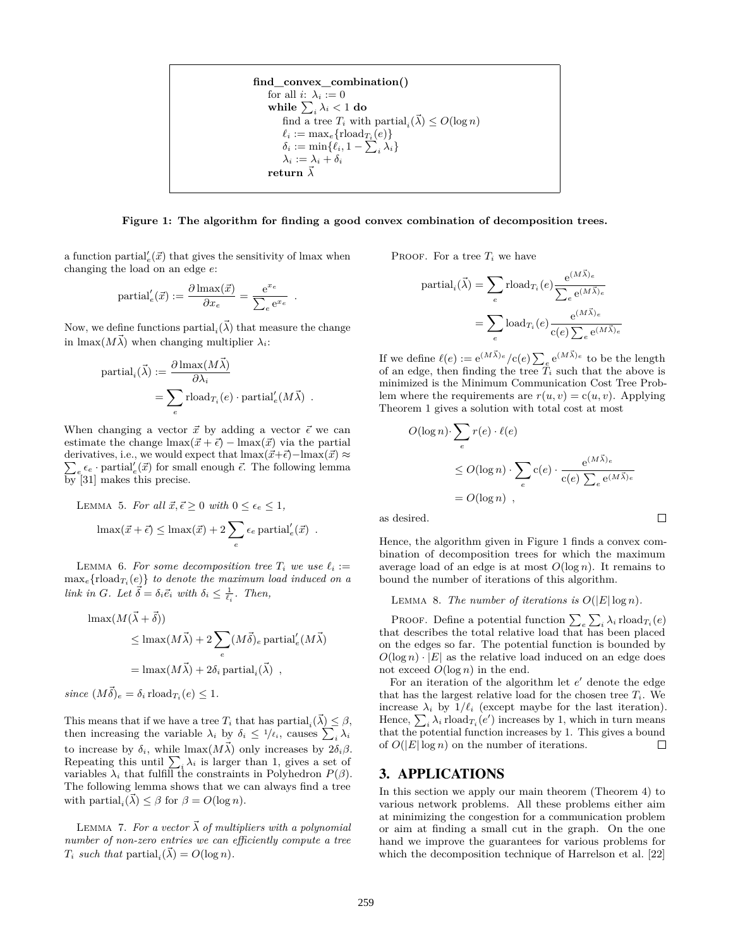

<span id="page-4-0"></span>**Figure 1: The algorithm for finding a good convex combination of decomposition trees.**

a function partial<sup> $\ell_e(\vec{x})$ </sup> that gives the sensitivity of lmax when changing the load on an edge *e*:

$$
\text{partial}_e'(\vec{x}) := \frac{\partial \max(\vec{x})}{\partial x_e} = \frac{e^{x_e}}{\sum_e e^{x_e}}.
$$

Now, we define functions  $\text{partial}_i(\vec{\lambda})$  that measure the change in  $\max(M\vec{\lambda})$  when changing multiplier  $\lambda_i$ :

$$
\begin{aligned} \text{partial}_i(\vec{\lambda}) &:= \frac{\partial \max(M\vec{\lambda})}{\partial \lambda_i} \\ &= \sum_e \text{rload}_{T_i}(e) \cdot \text{partial}'_e(M\vec{\lambda}) \enspace. \end{aligned}
$$

When changing a vector  $\vec{x}$  by adding a vector  $\vec{\epsilon}$  we can estimate the change  $\max(\vec{x} + \vec{\epsilon}) - \max(\vec{x})$  via the partial derivatives, i.e., we would expect that  $\max(\vec{x}+\vec{\epsilon})-\max(\vec{x}) \approx$  $\sum_{e} \epsilon_e$  · partial<sup>'</sup><sub>*e*</sub>( $\vec{x}$ ) for small enough  $\vec{\epsilon}$ . The following lemma by [\[31\]](#page-8-2) makes this precise.

LEMMA 5. For all 
$$
\vec{x}, \vec{\epsilon} \ge 0
$$
 with  $0 \le \epsilon_e \le 1$ ,  
\n
$$
\max(\vec{x} + \vec{\epsilon}) \le \max(\vec{x}) + 2 \sum_e \epsilon_e \operatorname{partial}'_e(\vec{x}) .
$$

LEMMA 6. For some decomposition tree  $T_i$  we use  $\ell_i :=$  $\max_e{\text{rload}_{T_i}(e)}$  *to denote the maximum load induced on a link in G. Let*  $\vec{\delta} = \delta_i \vec{e}_i$  *with*  $\delta_i \leq \frac{1}{\ell_i}$ *. Then,* 

$$
\begin{aligned} \text{Imax}(M(\vec{\lambda} + \vec{\delta})) \\ &\leq \text{Imax}(M\vec{\lambda}) + 2 \sum_{e} (M\vec{\delta})_e \, \text{partial}_e'(M\vec{\lambda}) \\ &= \text{Imax}(M\vec{\lambda}) + 2\delta_i \, \text{partial}_i(\vec{\lambda}) \, , \end{aligned}
$$

 $since (M\vec{\delta})_e = \delta_i \text{rload}_{T_i}(e) \leq 1.$ 

This means that if we have a tree  $T_i$  that has partial,  $(\vec{\lambda}) \leq \beta$ , then increasing the variable  $\lambda_i$  by  $\delta_i \leq 1/\ell_i$ , causes  $\sum_i \lambda_i$ to increase by  $\delta_i$ , while  $\text{Imax}(M\vec{\lambda})$  only increases by  $2\delta_i\beta$ . Repeating this until  $\sum_i \lambda_i$  is larger than 1, gives a set of variables  $\lambda_i$  that fulfill the constraints in [Polyhedron](#page-3-0)  $P(\beta)$ . The following lemma shows that we can always find a tree with partial<sub>*i*</sub></sub> $(\vec{\lambda}) \leq \beta$  for  $\beta = O(\log n)$ .

LEMMA 7. For a vector  $\vec{\lambda}$  of multipliers with a polynomial *number of non-zero entries we can efficiently compute a tree*  $T_i$  *such that*  $\text{partial}_i(\vec{\lambda}) = O(\log n)$ *.* 

PROOF. For a tree  $T_i$  we have

$$
\begin{aligned} \text{partial}_i(\vec{\lambda}) &= \sum_e \text{rload}_{T_i}(e) \frac{e^{(M\vec{\lambda})_e}}{\sum_e e^{(M\vec{\lambda})_e}} \\ &= \sum_e \text{load}_{T_i}(e) \frac{e^{(M\vec{\lambda})_e}}{\text{c}(e) \sum_e e^{(M\vec{\lambda})_e}} \end{aligned}
$$

If we define  $\ell(e) := e^{(M\vec{\lambda})e}/c(e) \sum_{e} e^{(M\vec{\lambda})e}$  to be the length of an edge, then finding the tree  $\tilde{T}_i$  such that the above is minimized is the Minimum Communication Cost Tree Problem where the requirements are  $r(u, v) = c(u, v)$ . Applying [Theorem 1](#page-2-0) gives a solution with total cost at most

$$
O(\log n) \cdot \sum_{e} r(e) \cdot \ell(e)
$$
  
\n
$$
\leq O(\log n) \cdot \sum_{e} c(e) \cdot \frac{e^{(M\vec{\lambda})e}}{c(e) \sum_{e} e^{(M\vec{\lambda})e}}
$$
  
\n
$$
= O(\log n) ,
$$

 $\Box$ 

as desired.

Hence, the algorithm given in [Figure 1](#page-4-0) finds a convex combination of decomposition trees for which the maximum average load of an edge is at most  $O(\log n)$ . It remains to bound the number of iterations of this algorithm.

LEMMA 8. *The number of iterations is*  $O(|E|\log n)$ .

PROOF. Define a potential function  $\sum_{e} \sum_{i} \lambda_i \text{rload}_{T_i}(e)$ that describes the total relative load that has been placed on the edges so far. The potential function is bounded by  $O(\log n) \cdot |E|$  as the relative load induced on an edge does not exceed  $O(\log n)$  in the end.

For an iteration of the algorithm let  $e'$  denote the edge that has the largest relative load for the chosen tree  $T_i$ . We increase  $\lambda_i$  by  $1/\ell_i$  (except maybe for the last iteration). Hence,  $\sum_i \lambda_i \text{rload}_{T_i}(e')$  increases by 1, which in turn means that the potential function increases by 1. This gives a bound of  $O(|E|\log n)$  on the number of iterations.  $\Box$ 

# 3. APPLICATIONS

In this section we apply our main theorem [\(Theorem 4\)](#page-3-1) to various network problems. All these problems either aim at minimizing the congestion for a communication problem or aim at finding a small cut in the graph. On the one hand we improve the guarantees for various problems for which the decomposition technique of Harrelson et al. [\[22\]](#page-7-4)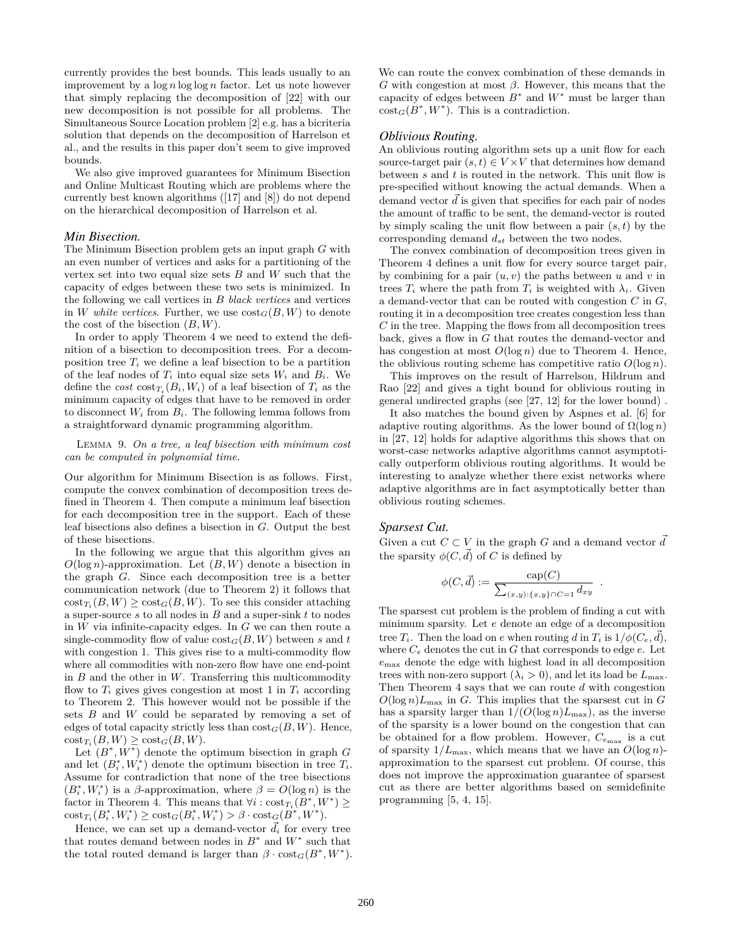currently provides the best bounds. This leads usually to an improvement by a log *n* log log *n* factor. Let us note however that simply replacing the decomposition of [\[22\]](#page-7-4) with our new decomposition is not possible for all problems. The Simultaneous Source Location problem [\[2\]](#page-7-6) e.g. has a bicriteria solution that depends on the decomposition of Harrelson et al., and the results in this paper don't seem to give improved bounds.

We also give improved guarantees for Minimum Bisection and Online Multicast Routing which are problems where the currently best known algorithms ([\[17\]](#page-7-5) and [\[8\]](#page-7-15)) do not depend on the hierarchical decomposition of Harrelson et al.

#### *Min Bisection.*

The Minimum Bisection problem gets an input graph *G* with an even number of vertices and asks for a partitioning of the vertex set into two equal size sets *B* and *W* such that the capacity of edges between these two sets is minimized. In the following we call vertices in *B black vertices* and vertices in *W* white vertices. Further, we use  $\text{cost}_G(B, W)$  to denote the cost of the bisection (*B, W*).

In order to apply [Theorem 4](#page-3-1) we need to extend the definition of a bisection to decomposition trees. For a decomposition tree  $T_i$  we define a leaf bisection to be a partition of the leaf nodes of  $T_i$  into equal size sets  $W_i$  and  $B_i$ . We define the  $cost \ncost_{T_i}(B_i, W_i)$  of a leaf bisection of  $T_i$  as the minimum capacity of edges that have to be removed in order to disconnect  $W_i$  from  $B_i$ . The following lemma follows from a straightforward dynamic programming algorithm.

Lemma 9. *On a tree, a leaf bisection with minimum cost can be computed in polynomial time.*

Our algorithm for Minimum Bisection is as follows. First, compute the convex combination of decomposition trees defined in [Theorem 4.](#page-3-1) Then compute a minimum leaf bisection for each decomposition tree in the support. Each of these leaf bisections also defines a bisection in *G*. Output the best of these bisections.

In the following we argue that this algorithm gives an *O*(log *n*)-approximation. Let (*B, W*) denote a bisection in the graph *G*. Since each decomposition tree is a better communication network (due to [Theorem 2\)](#page-3-2) it follows that  $\text{cost}_{T_i}(B, W) \geq \text{cost}_G(B, W)$ . To see this consider attaching a super-source *s* to all nodes in *B* and a super-sink *t* to nodes in *W* via infinite-capacity edges. In *G* we can then route a single-commodity flow of value  $cost_G(B, W)$  between *s* and *t* with congestion 1. This gives rise to a multi-commodity flow where all commodities with non-zero flow have one end-point in *B* and the other in *W*. Transferring this multicommodity flow to  $T_i$  gives gives congestion at most 1 in  $T_i$  according to [Theorem 2.](#page-3-2) This however would not be possible if the sets *B* and *W* could be separated by removing a set of edges of total capacity strictly less than  $cost_G(B, W)$ . Hence,  $\text{cost}_{T_i}(B, W) \geq \text{cost}_G(B, W).$ 

Let  $(B^*, W^*)$  denote the optimum bisection in graph  $G$ and let  $(B_i^*, W_i^*)$  denote the optimum bisection in tree  $T_i$ . Assume for contradiction that none of the tree bisections  $(B_i^*, W_i^*)$  is a *β*-approximation, where  $\beta = O(\log n)$  is the factor in [Theorem 4.](#page-3-1) This means that  $\forall i : \text{cost}_{T_i}(B^*, W^*) \geq$  $\text{cost}_{T_i}(B_i^*, W_i^*) \geq \text{cost}_G(B_i^*, W_i^*) > \beta \cdot \text{cost}_G(B^*, W^*).$ 

Hence, we can set up a demand-vector  $\vec{d}_i$  for every tree that routes demand between nodes in  $B^*$  and  $W^*$  such that the total routed demand is larger than  $\beta \cdot \text{cost}_G(B^*, W^*)$ . We can route the convex combination of these demands in *G* with congestion at most *β*. However, this means that the capacity of edges between  $B^*$  and  $W^*$  must be larger than  $\cot_G(B^*,W^*)$ . This is a contradiction.

### *Oblivious Routing.*

An oblivious routing algorithm sets up a unit flow for each source-target pair  $(s, t) \in V \times V$  that determines how demand between *s* and *t* is routed in the network. This unit flow is pre-specified without knowing the actual demands. When a demand vector *d* is given that specifies for each pair of nodes the amount of traffic to be sent, the demand-vector is routed by simply scaling the unit flow between a pair (*s, t*) by the corresponding demand *dst* between the two nodes.

The convex combination of decomposition trees given in [Theorem 4](#page-3-1) defines a unit flow for every source target pair, by combining for a pair  $(u, v)$  the paths between  $u$  and  $v$  in trees  $T_i$  where the path from  $T_i$  is weighted with  $\lambda_i$ . Given a demand-vector that can be routed with congestion *C* in *G*, routing it in a decomposition tree creates congestion less than *C* in the tree. Mapping the flows from all decomposition trees back, gives a flow in *G* that routes the demand-vector and has congestion at most  $O(\log n)$  due to [Theorem 4.](#page-3-1) Hence, the oblivious routing scheme has competitive ratio  $O(\log n)$ .

This improves on the result of Harrelson, Hildrum and Rao [\[22\]](#page-7-4) and gives a tight bound for oblivious routing in general undirected graphs (see [\[27,](#page-8-1) [12\]](#page-7-12) for the lower bound) .

It also matches the bound given by Aspnes et al. [\[6\]](#page-7-16) for adaptive routing algorithms. As the lower bound of  $\Omega(\log n)$ in [\[27,](#page-8-1) [12\]](#page-7-12) holds for adaptive algorithms this shows that on worst-case networks adaptive algorithms cannot asymptotically outperform oblivious routing algorithms. It would be interesting to analyze whether there exist networks where adaptive algorithms are in fact asymptotically better than oblivious routing schemes.

## *Sparsest Cut.*

Given a cut  $C \subset V$  in the graph G and a demand vector  $\overrightarrow{d}$ the sparsity  $\phi(C, \vec{d})$  of *C* is defined by

$$
\phi(C, \vec{d}) := \frac{\text{cap}(C)}{\sum_{(x,y):\{x,y\}\cap C = 1} d_{xy}}
$$

*.*

The sparsest cut problem is the problem of finding a cut with minimum sparsity. Let *e* denote an edge of a decomposition tree  $T_i$ . Then the load on *e* when routing *d* in  $T_i$  is  $1/\phi(C_e, \vec{d})$ , where  $C_e$  denotes the cut in  $G$  that corresponds to edge  $e$ . Let *e*max denote the edge with highest load in all decomposition trees with non-zero support  $(\lambda_i > 0)$ , and let its load be  $L_{\text{max}}$ . Then [Theorem 4](#page-3-1) says that we can route *d* with congestion  $O(\log n)L_{\max}$  in *G*. This implies that the sparsest cut in *G* has a sparsity larger than  $1/(O(\log n)L_{\max})$ , as the inverse of the sparsity is a lower bound on the congestion that can be obtained for a flow problem. However,  $C_{e_{\text{max}}}$  is a cut of sparsity  $1/L_{\text{max}}$ , which means that we have an  $O(\log n)$ approximation to the sparsest cut problem. Of course, this does not improve the approximation guarantee of sparsest cut as there are better algorithms based on semidefinite programming [\[5,](#page-7-13) [4,](#page-7-17) [15\]](#page-7-18).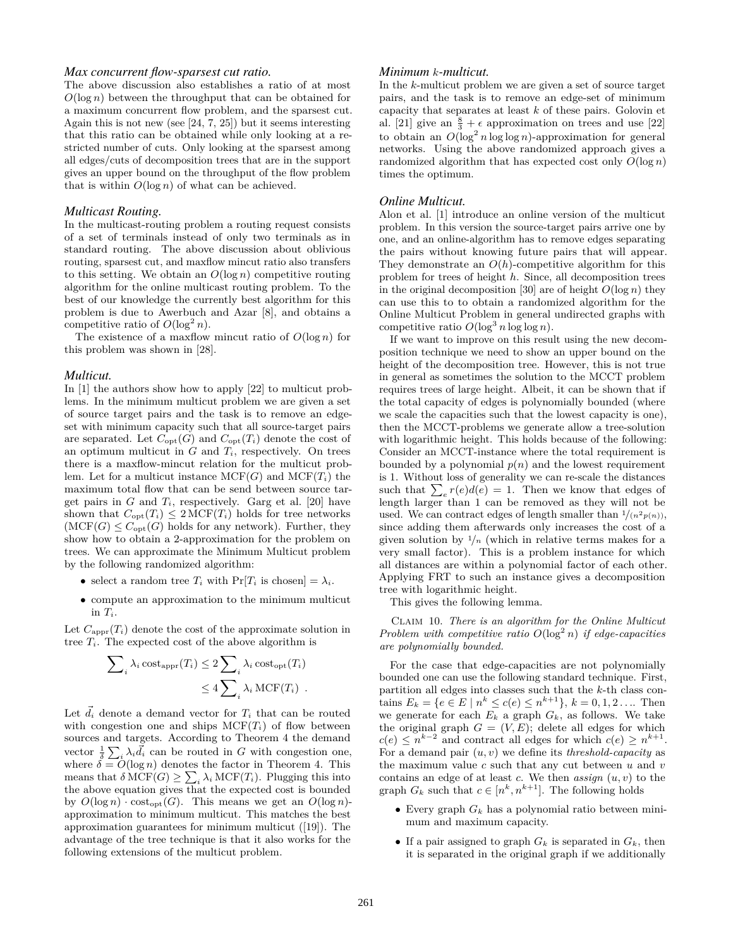## *Max concurrent flow-sparsest cut ratio.*

The above discussion also establishes a ratio of at most *O*(log *n*) between the throughput that can be obtained for a maximum concurrent flow problem, and the sparsest cut. Again this is not new (see [\[24,](#page-8-6) [7,](#page-7-19) [25\]](#page-8-7)) but it seems interesting that this ratio can be obtained while only looking at a restricted number of cuts. Only looking at the sparsest among all edges/cuts of decomposition trees that are in the support gives an upper bound on the throughput of the flow problem that is within  $O(\log n)$  of what can be achieved.

## *Multicast Routing.*

In the multicast-routing problem a routing request consists of a set of terminals instead of only two terminals as in standard routing. The above discussion about oblivious routing, sparsest cut, and maxflow mincut ratio also transfers to this setting. We obtain an  $O(\log n)$  competitive routing algorithm for the online multicast routing problem. To the best of our knowledge the currently best algorithm for this problem is due to Awerbuch and Azar [\[8\]](#page-7-15), and obtains a competitive ratio of  $O(\log^2 n)$ .

The existence of a maxflow mincut ratio of *O*(log *n*) for this problem was shown in [\[28\]](#page-8-8).

#### *Multicut.*

In [\[1\]](#page-7-7) the authors show how to apply [\[22\]](#page-7-4) to multicut problems. In the minimum multicut problem we are given a set of source target pairs and the task is to remove an edgeset with minimum capacity such that all source-target pairs are separated. Let  $C_{opt}(G)$  and  $C_{opt}(T_i)$  denote the cost of an optimum multicut in  $G$  and  $T_i$ , respectively. On trees there is a maxflow-mincut relation for the multicut problem. Let for a multicut instance  $MCF(G)$  and  $MCF(T_i)$  the maximum total flow that can be send between source target pairs in  $G$  and  $T_i$ , respectively. Garg et al. [\[20\]](#page-7-20) have shown that  $C_{opt}(T_i) \leq 2 \text{MCF}(T_i)$  holds for tree networks  $(MCF(G) \leq C_{opt}(G)$  holds for any network). Further, they show how to obtain a 2-approximation for the problem on trees. We can approximate the Minimum Multicut problem by the following randomized algorithm:

- select a random tree  $T_i$  with  $Pr[T_i]$  is chosen] =  $\lambda_i$ .
- *•* compute an approximation to the minimum multicut in  $T_i$ .

Let  $C_{\text{appr}}(T_i)$  denote the cost of the approximate solution in tree  $T_i$ . The expected cost of the above algorithm is

$$
\sum_{i} \lambda_{i} \cot_{\text{appr}}(T_{i}) \leq 2 \sum_{i} \lambda_{i} \cot_{\text{opt}}(T_{i})
$$
  

$$
\leq 4 \sum_{i} \lambda_{i} \mathrm{MCF}(T_{i}) .
$$

Let  $d_i$  denote a demand vector for  $T_i$  that can be routed with congestion one and ships  $MCF(T_i)$  of flow between sources and targets. According to [Theorem 4](#page-3-1) the demand vector  $\frac{1}{\delta} \sum_i \lambda_i \vec{d}_i$  can be routed in *G* with congestion one, where  $\delta = \tilde{O}(\log n)$  denotes the factor in [Theorem 4.](#page-3-1) This means that  $\delta \text{MCF}(G) \ge \sum_i \lambda_i \text{MCF}(T_i)$ . Plugging this into the above equation gives that the expected cost is bounded by  $O(\log n) \cdot \text{cost}_{\text{opt}}(G)$ . This means we get an  $O(\log n)$ approximation to minimum multicut. This matches the best approximation guarantees for minimum multicut ([\[19\]](#page-7-21)). The advantage of the tree technique is that it also works for the following extensions of the multicut problem.

## *Minimum k-multicut.*

In the *k*-multicut problem we are given a set of source target pairs, and the task is to remove an edge-set of minimum capacity that separates at least *k* of these pairs. Golovin et al. [\[21\]](#page-7-8) give an  $\frac{8}{3} + \epsilon$  approximation on trees and use [\[22\]](#page-7-4) to obtain an  $O(\log^2 n \log \log n)$ -approximation for general networks. Using the above randomized approach gives a randomized algorithm that has expected cost only  $O(\log n)$ times the optimum.

#### *Online Multicut.*

Alon et al. [\[1\]](#page-7-7) introduce an online version of the multicut problem. In this version the source-target pairs arrive one by one, and an online-algorithm has to remove edges separating the pairs without knowing future pairs that will appear. They demonstrate an *O*(*h*)-competitive algorithm for this problem for trees of height *h*. Since, all decomposition trees in the original decomposition [\[30\]](#page-8-0) are of height  $O(\log n)$  they can use this to to obtain a randomized algorithm for the Online Multicut Problem in general undirected graphs with competitive ratio  $O(\log^3 n \log \log n)$ .

If we want to improve on this result using the new decomposition technique we need to show an upper bound on the height of the decomposition tree. However, this is not true in general as sometimes the solution to the MCCT problem requires trees of large height. Albeit, it can be shown that if the total capacity of edges is polynomially bounded (where we scale the capacities such that the lowest capacity is one), then the MCCT-problems we generate allow a tree-solution with logarithmic height. This holds because of the following: Consider an MCCT-instance where the total requirement is bounded by a polynomial  $p(n)$  and the lowest requirement is 1. Without loss of generality we can re-scale the distances such that  $\sum_{e} r(e)d(e) = 1$ . Then we know that edges of length larger than 1 can be removed as they will not be used. We can contract edges of length smaller than  $\frac{1}{(n^2 p(n))}$ , since adding them afterwards only increases the cost of a given solution by  $\frac{1}{n}$  (which in relative terms makes for a very small factor). This is a problem instance for which all distances are within a polynomial factor of each other. Applying FRT to such an instance gives a decomposition tree with logarithmic height.

<span id="page-6-0"></span>This gives the following lemma.

Claim 10. *There is an algorithm for the Online Multicut Problem with competitive ratio*  $O(\log^2 n)$  *if edge-capacities are polynomially bounded.*

For the case that edge-capacities are not polynomially bounded one can use the following standard technique. First, partition all edges into classes such that the *k*-th class con- $\tanh E_k = \{e \in E \mid n^k \le c(e) \le n^{k+1}\}, k = 0, 1, 2 \ldots$  Then we generate for each  $E_k$  a graph  $G_k$ , as follows. We take the original graph  $G = (V, E)$ ; delete all edges for which  $c(e) \leq n^{k-2}$  and contract all edges for which  $c(e) \geq n^{k+1}$ . For a demand pair  $(u, v)$  we define its *threshold-capacity* as the maximum value *c* such that any cut between *u* and *v* contains an edge of at least *c*. We then *assign* (*u, v*) to the graph  $G_k$  such that  $c \in [n^k, n^{k+1}]$ . The following holds

- *•* Every graph *G<sup>k</sup>* has a polynomial ratio between minimum and maximum capacity.
- If a pair assigned to graph  $G_k$  is separated in  $G_k$ , then it is separated in the original graph if we additionally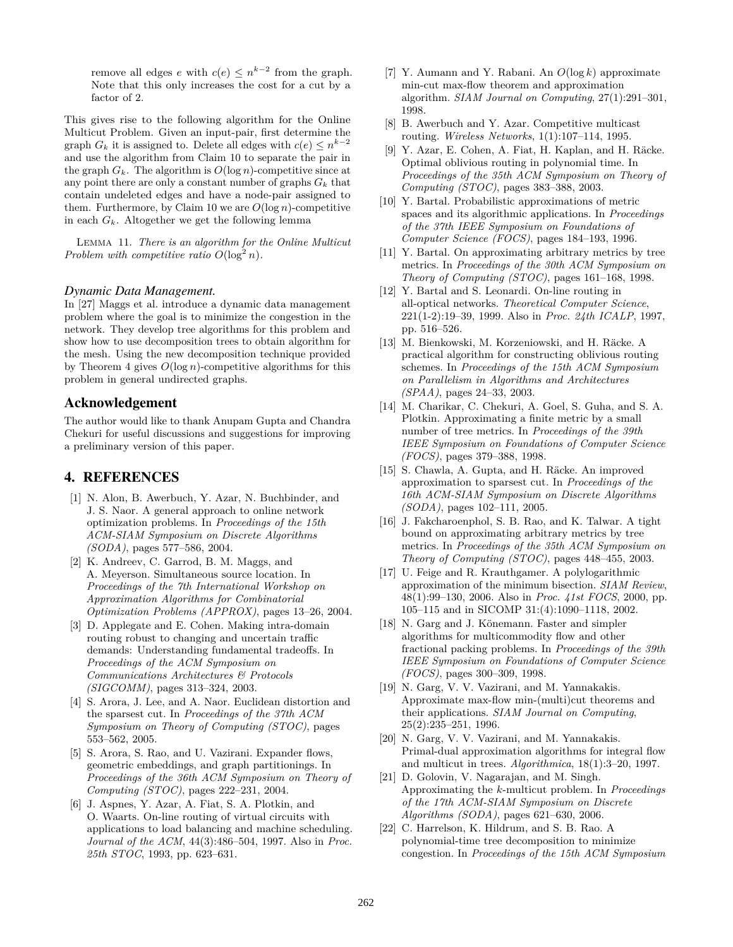remove all edges *e* with  $c(e) \leq n^{k-2}$  from the graph. Note that this only increases the cost for a cut by a factor of 2.

This gives rise to the following algorithm for the Online Multicut Problem. Given an input-pair, first determine the graph  $G_k$  it is assigned to. Delete all edges with  $c(e) \leq n^{k-2}$ and use the algorithm from [Claim 10](#page-6-0) to separate the pair in the graph  $G_k$ . The algorithm is  $O(\log n)$ -competitive since at any point there are only a constant number of graphs  $G_k$  that contain undeleted edges and have a node-pair assigned to them. Furthermore, by [Claim 10](#page-6-0) we are  $O(\log n)$ -competitive in each  $G_k$ . Altogether we get the following lemma

Lemma 11. *There is an algorithm for the Online Multicut Problem with competitive ratio*  $O(\log^2 n)$ *.* 

#### *Dynamic Data Management.*

In [\[27\]](#page-8-1) Maggs et al. introduce a dynamic data management problem where the goal is to minimize the congestion in the network. They develop tree algorithms for this problem and show how to use decomposition trees to obtain algorithm for the mesh. Using the new decomposition technique provided by [Theorem 4](#page-3-1) gives  $O(\log n)$ -competitive algorithms for this problem in general undirected graphs.

## Acknowledgement

The author would like to thank Anupam Gupta and Chandra Chekuri for useful discussions and suggestions for improving a preliminary version of this paper.

# 4. REFERENCES

- <span id="page-7-7"></span>[1] N. Alon, B. Awerbuch, Y. Azar, N. Buchbinder, and J. S. Naor. A general approach to online network optimization problems. In *Proceedings of the 15th ACM-SIAM Symposium on Discrete Algorithms (SODA)*, pages 577–586, 2004.
- <span id="page-7-6"></span>[2] K. Andreev, C. Garrod, B. M. Maggs, and A. Meyerson. Simultaneous source location. In *Proceedings of the 7th International Workshop on Approximation Algorithms for Combinatorial Optimization Problems (APPROX)*, pages 13–26, 2004.
- <span id="page-7-10"></span>[3] D. Applegate and E. Cohen. Making intra-domain routing robust to changing and uncertain traffic demands: Understanding fundamental tradeoffs. In *Proceedings of the ACM Symposium on Communications Architectures & Protocols (SIGCOMM)*, pages 313–324, 2003.
- <span id="page-7-17"></span>[4] S. Arora, J. Lee, and A. Naor. Euclidean distortion and the sparsest cut. In *Proceedings of the 37th ACM Symposium on Theory of Computing (STOC)*, pages 553–562, 2005.
- <span id="page-7-13"></span>[5] S. Arora, S. Rao, and U. Vazirani. Expander flows, geometric embeddings, and graph partitionings. In *Proceedings of the 36th ACM Symposium on Theory of Computing (STOC)*, pages 222–231, 2004.
- <span id="page-7-16"></span>[6] J. Aspnes, Y. Azar, A. Fiat, S. A. Plotkin, and O. Waarts. On-line routing of virtual circuits with applications to load balancing and machine scheduling. *Journal of the ACM*, 44(3):486–504, 1997. Also in *Proc. 25th STOC*, 1993, pp. 623–631.
- <span id="page-7-19"></span>[7] Y. Aumann and Y. Rabani. An *O*(log *k*) approximate min-cut max-flow theorem and approximation algorithm. *SIAM Journal on Computing*, 27(1):291–301, 1998.
- <span id="page-7-15"></span>[8] B. Awerbuch and Y. Azar. Competitive multicast routing. *Wireless Networks*, 1(1):107–114, 1995.
- <span id="page-7-9"></span>[9] Y. Azar, E. Cohen, A. Fiat, H. Kaplan, and H. Räcke. Optimal oblivious routing in polynomial time. In *Proceedings of the 35th ACM Symposium on Theory of Computing (STOC)*, pages 383–388, 2003.
- <span id="page-7-0"></span>[10] Y. Bartal. Probabilistic approximations of metric spaces and its algorithmic applications. In *Proceedings of the 37th IEEE Symposium on Foundations of Computer Science (FOCS)*, pages 184–193, 1996.
- <span id="page-7-1"></span>[11] Y. Bartal. On approximating arbitrary metrics by tree metrics. In *Proceedings of the 30th ACM Symposium on Theory of Computing (STOC)*, pages 161–168, 1998.
- <span id="page-7-12"></span>[12] Y. Bartal and S. Leonardi. On-line routing in all-optical networks. *Theoretical Computer Science*, 221(1-2):19–39, 1999. Also in *Proc. 24th ICALP*, 1997, pp. 516–526.
- <span id="page-7-11"></span>[13] M. Bienkowski, M. Korzeniowski, and H. Räcke. A practical algorithm for constructing oblivious routing schemes. In *Proceedings of the 15th ACM Symposium on Parallelism in Algorithms and Architectures (SPAA)*, pages 24–33, 2003.
- <span id="page-7-2"></span>[14] M. Charikar, C. Chekuri, A. Goel, S. Guha, and S. A. Plotkin. Approximating a finite metric by a small number of tree metrics. In *Proceedings of the 39th IEEE Symposium on Foundations of Computer Science (FOCS)*, pages 379–388, 1998.
- <span id="page-7-18"></span>[15] S. Chawla, A. Gupta, and H. Räcke. An improved approximation to sparsest cut. In *Proceedings of the 16th ACM-SIAM Symposium on Discrete Algorithms (SODA)*, pages 102–111, 2005.
- <span id="page-7-3"></span>[16] J. Fakcharoenphol, S. B. Rao, and K. Talwar. A tight bound on approximating arbitrary metrics by tree metrics. In *Proceedings of the 35th ACM Symposium on Theory of Computing (STOC)*, pages 448–455, 2003.
- <span id="page-7-5"></span>[17] U. Feige and R. Krauthgamer. A polylogarithmic approximation of the minimum bisection. *SIAM Review*, 48(1):99–130, 2006. Also in *Proc. 41st FOCS*, 2000, pp. 105–115 and in SICOMP 31:(4):1090–1118, 2002.
- <span id="page-7-14"></span>[18] N. Garg and J. Könemann. Faster and simpler algorithms for multicommodity flow and other fractional packing problems. In *Proceedings of the 39th IEEE Symposium on Foundations of Computer Science (FOCS)*, pages 300–309, 1998.
- <span id="page-7-21"></span>[19] N. Garg, V. V. Vazirani, and M. Yannakakis. Approximate max-flow min-(multi)cut theorems and their applications. *SIAM Journal on Computing*, 25(2):235–251, 1996.
- <span id="page-7-20"></span>[20] N. Garg, V. V. Vazirani, and M. Yannakakis. Primal-dual approximation algorithms for integral flow and multicut in trees. *Algorithmica*, 18(1):3–20, 1997.
- <span id="page-7-8"></span>[21] D. Golovin, V. Nagarajan, and M. Singh. Approximating the *k*-multicut problem. In *Proceedings of the 17th ACM-SIAM Symposium on Discrete Algorithms (SODA)*, pages 621–630, 2006.
- <span id="page-7-4"></span>[22] C. Harrelson, K. Hildrum, and S. B. Rao. A polynomial-time tree decomposition to minimize congestion. In *Proceedings of the 15th ACM Symposium*